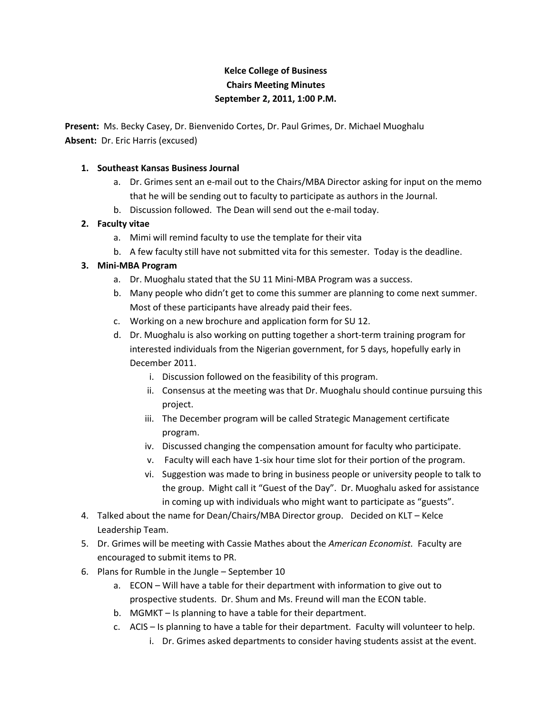## **Kelce College of Business Chairs Meeting Minutes September 2, 2011, 1:00 P.M.**

**Present:** Ms. Becky Casey, Dr. Bienvenido Cortes, Dr. Paul Grimes, Dr. Michael Muoghalu **Absent:** Dr. Eric Harris (excused)

## **1. Southeast Kansas Business Journal**

- a. Dr. Grimes sent an e-mail out to the Chairs/MBA Director asking for input on the memo that he will be sending out to faculty to participate as authors in the Journal.
- b. Discussion followed. The Dean will send out the e-mail today.

## **2. Faculty vitae**

- a. Mimi will remind faculty to use the template for their vita
- b. A few faculty still have not submitted vita for this semester. Today is the deadline.

## **3. Mini-MBA Program**

- a. Dr. Muoghalu stated that the SU 11 Mini-MBA Program was a success.
- b. Many people who didn't get to come this summer are planning to come next summer. Most of these participants have already paid their fees.
- c. Working on a new brochure and application form for SU 12.
- d. Dr. Muoghalu is also working on putting together a short-term training program for interested individuals from the Nigerian government, for 5 days, hopefully early in December 2011.
	- i. Discussion followed on the feasibility of this program.
	- ii. Consensus at the meeting was that Dr. Muoghalu should continue pursuing this project.
	- iii. The December program will be called Strategic Management certificate program.
	- iv. Discussed changing the compensation amount for faculty who participate.
	- v. Faculty will each have 1-six hour time slot for their portion of the program.
	- vi. Suggestion was made to bring in business people or university people to talk to the group. Might call it "Guest of the Day". Dr. Muoghalu asked for assistance in coming up with individuals who might want to participate as "guests".
- 4. Talked about the name for Dean/Chairs/MBA Director group. Decided on KLT Kelce Leadership Team.
- 5. Dr. Grimes will be meeting with Cassie Mathes about the *American Economist.* Faculty are encouraged to submit items to PR.
- 6. Plans for Rumble in the Jungle September 10
	- a. ECON Will have a table for their department with information to give out to prospective students. Dr. Shum and Ms. Freund will man the ECON table.
	- b. MGMKT Is planning to have a table for their department.
	- c. ACIS Is planning to have a table for their department. Faculty will volunteer to help.
		- i. Dr. Grimes asked departments to consider having students assist at the event.